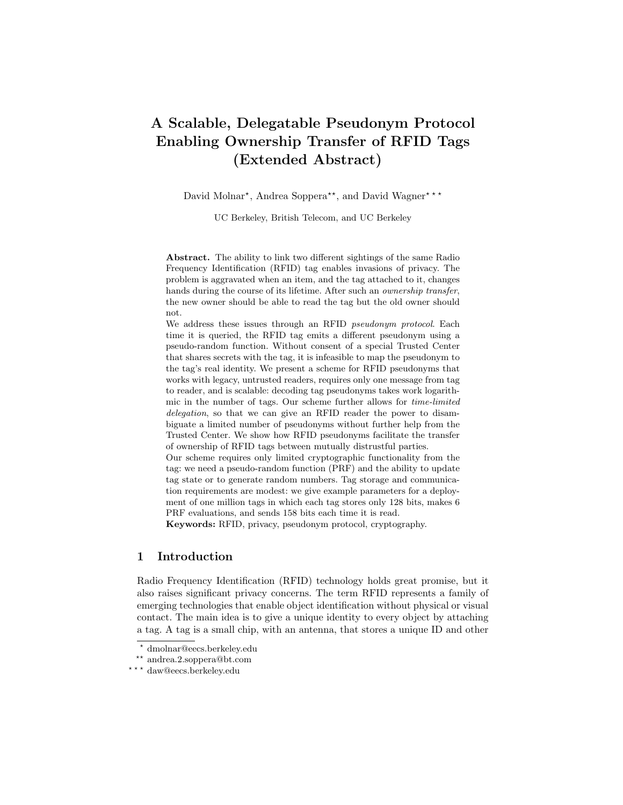# A Scalable, Delegatable Pseudonym Protocol Enabling Ownership Transfer of RFID Tags (Extended Abstract)

David Molnar\*, Andrea Soppera\*\*, and David Wagner\*\*\*

UC Berkeley, British Telecom, and UC Berkeley

Abstract. The ability to link two different sightings of the same Radio Frequency Identification (RFID) tag enables invasions of privacy. The problem is aggravated when an item, and the tag attached to it, changes hands during the course of its lifetime. After such an ownership transfer, the new owner should be able to read the tag but the old owner should not.

We address these issues through an RFID pseudonym protocol. Each time it is queried, the RFID tag emits a different pseudonym using a pseudo-random function. Without consent of a special Trusted Center that shares secrets with the tag, it is infeasible to map the pseudonym to the tag's real identity. We present a scheme for RFID pseudonyms that works with legacy, untrusted readers, requires only one message from tag to reader, and is scalable: decoding tag pseudonyms takes work logarithmic in the number of tags. Our scheme further allows for time-limited delegation, so that we can give an RFID reader the power to disambiguate a limited number of pseudonyms without further help from the Trusted Center. We show how RFID pseudonyms facilitate the transfer of ownership of RFID tags between mutually distrustful parties.

Our scheme requires only limited cryptographic functionality from the tag: we need a pseudo-random function (PRF) and the ability to update tag state or to generate random numbers. Tag storage and communication requirements are modest: we give example parameters for a deployment of one million tags in which each tag stores only 128 bits, makes 6 PRF evaluations, and sends 158 bits each time it is read.

Keywords: RFID, privacy, pseudonym protocol, cryptography.

#### 1 Introduction

Radio Frequency Identification (RFID) technology holds great promise, but it also raises significant privacy concerns. The term RFID represents a family of emerging technologies that enable object identification without physical or visual contact. The main idea is to give a unique identity to every object by attaching a tag. A tag is a small chip, with an antenna, that stores a unique ID and other

<sup>?</sup> dmolnar@eecs.berkeley.edu

<sup>\*\*</sup> andrea.2.soppera@bt.com

<sup>\*\*\*</sup> daw@eecs.berkeley.edu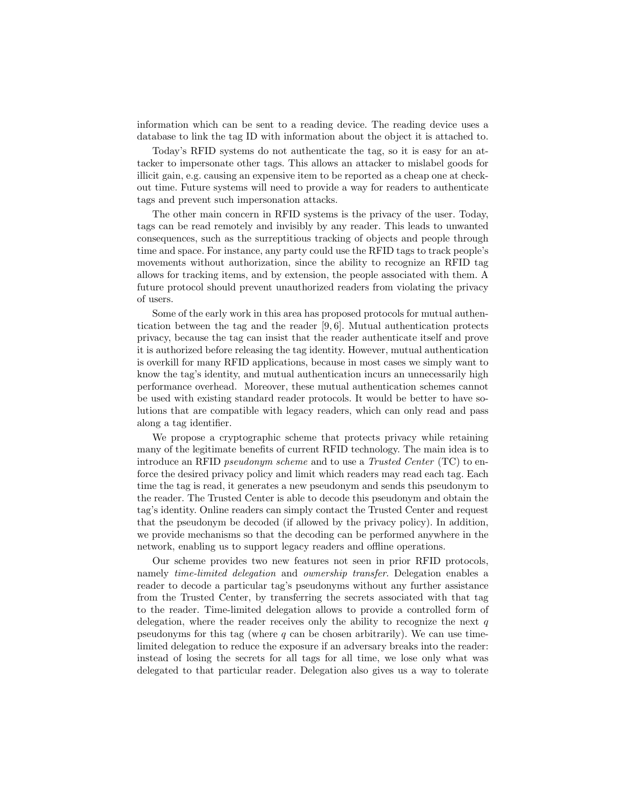information which can be sent to a reading device. The reading device uses a database to link the tag ID with information about the object it is attached to.

Today's RFID systems do not authenticate the tag, so it is easy for an attacker to impersonate other tags. This allows an attacker to mislabel goods for illicit gain, e.g. causing an expensive item to be reported as a cheap one at checkout time. Future systems will need to provide a way for readers to authenticate tags and prevent such impersonation attacks.

The other main concern in RFID systems is the privacy of the user. Today, tags can be read remotely and invisibly by any reader. This leads to unwanted consequences, such as the surreptitious tracking of objects and people through time and space. For instance, any party could use the RFID tags to track people's movements without authorization, since the ability to recognize an RFID tag allows for tracking items, and by extension, the people associated with them. A future protocol should prevent unauthorized readers from violating the privacy of users.

Some of the early work in this area has proposed protocols for mutual authentication between the tag and the reader [9, 6]. Mutual authentication protects privacy, because the tag can insist that the reader authenticate itself and prove it is authorized before releasing the tag identity. However, mutual authentication is overkill for many RFID applications, because in most cases we simply want to know the tag's identity, and mutual authentication incurs an unnecessarily high performance overhead. Moreover, these mutual authentication schemes cannot be used with existing standard reader protocols. It would be better to have solutions that are compatible with legacy readers, which can only read and pass along a tag identifier.

We propose a cryptographic scheme that protects privacy while retaining many of the legitimate benefits of current RFID technology. The main idea is to introduce an RFID pseudonym scheme and to use a Trusted Center (TC) to enforce the desired privacy policy and limit which readers may read each tag. Each time the tag is read, it generates a new pseudonym and sends this pseudonym to the reader. The Trusted Center is able to decode this pseudonym and obtain the tag's identity. Online readers can simply contact the Trusted Center and request that the pseudonym be decoded (if allowed by the privacy policy). In addition, we provide mechanisms so that the decoding can be performed anywhere in the network, enabling us to support legacy readers and offline operations.

Our scheme provides two new features not seen in prior RFID protocols, namely time-limited delegation and ownership transfer. Delegation enables a reader to decode a particular tag's pseudonyms without any further assistance from the Trusted Center, by transferring the secrets associated with that tag to the reader. Time-limited delegation allows to provide a controlled form of delegation, where the reader receives only the ability to recognize the next  $q$ pseudonyms for this tag (where  $q$  can be chosen arbitrarily). We can use timelimited delegation to reduce the exposure if an adversary breaks into the reader: instead of losing the secrets for all tags for all time, we lose only what was delegated to that particular reader. Delegation also gives us a way to tolerate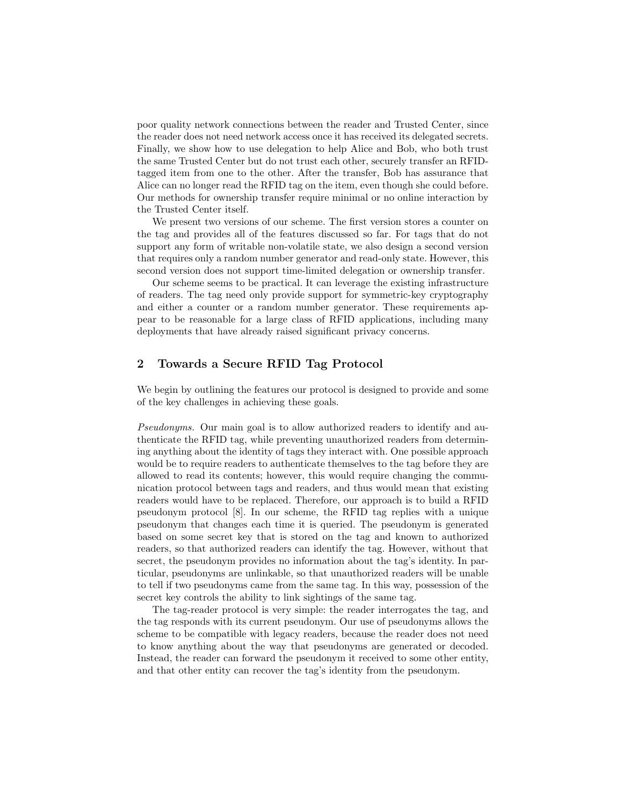poor quality network connections between the reader and Trusted Center, since the reader does not need network access once it has received its delegated secrets. Finally, we show how to use delegation to help Alice and Bob, who both trust the same Trusted Center but do not trust each other, securely transfer an RFIDtagged item from one to the other. After the transfer, Bob has assurance that Alice can no longer read the RFID tag on the item, even though she could before. Our methods for ownership transfer require minimal or no online interaction by the Trusted Center itself.

We present two versions of our scheme. The first version stores a counter on the tag and provides all of the features discussed so far. For tags that do not support any form of writable non-volatile state, we also design a second version that requires only a random number generator and read-only state. However, this second version does not support time-limited delegation or ownership transfer.

Our scheme seems to be practical. It can leverage the existing infrastructure of readers. The tag need only provide support for symmetric-key cryptography and either a counter or a random number generator. These requirements appear to be reasonable for a large class of RFID applications, including many deployments that have already raised significant privacy concerns.

# 2 Towards a Secure RFID Tag Protocol

We begin by outlining the features our protocol is designed to provide and some of the key challenges in achieving these goals.

Pseudonyms. Our main goal is to allow authorized readers to identify and authenticate the RFID tag, while preventing unauthorized readers from determining anything about the identity of tags they interact with. One possible approach would be to require readers to authenticate themselves to the tag before they are allowed to read its contents; however, this would require changing the communication protocol between tags and readers, and thus would mean that existing readers would have to be replaced. Therefore, our approach is to build a RFID pseudonym protocol [8]. In our scheme, the RFID tag replies with a unique pseudonym that changes each time it is queried. The pseudonym is generated based on some secret key that is stored on the tag and known to authorized readers, so that authorized readers can identify the tag. However, without that secret, the pseudonym provides no information about the tag's identity. In particular, pseudonyms are unlinkable, so that unauthorized readers will be unable to tell if two pseudonyms came from the same tag. In this way, possession of the secret key controls the ability to link sightings of the same tag.

The tag-reader protocol is very simple: the reader interrogates the tag, and the tag responds with its current pseudonym. Our use of pseudonyms allows the scheme to be compatible with legacy readers, because the reader does not need to know anything about the way that pseudonyms are generated or decoded. Instead, the reader can forward the pseudonym it received to some other entity, and that other entity can recover the tag's identity from the pseudonym.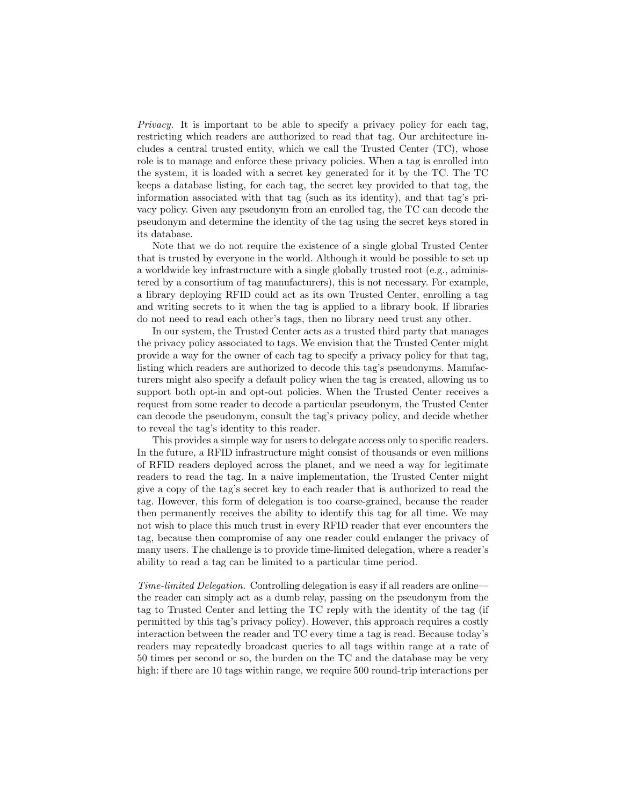Privacy. It is important to be able to specify a privacy policy for each tag, restricting which readers are authorized to read that tag. Our architecture includes a central trusted entity, which we call the Trusted Center (TC), whose role is to manage and enforce these privacy policies. When a tag is enrolled into the system, it is loaded with a secret key generated for it by the TC. The TC keeps a database listing, for each tag, the secret key provided to that tag, the information associated with that tag (such as its identity), and that tag's privacy policy. Given any pseudonym from an enrolled tag, the TC can decode the pseudonym and determine the identity of the tag using the secret keys stored in its database.

Note that we do not require the existence of a single global Trusted Center that is trusted by everyone in the world. Although it would be possible to set up a worldwide key infrastructure with a single globally trusted root (e.g., administered by a consortium of tag manufacturers), this is not necessary. For example, a library deploying RFID could act as its own Trusted Center, enrolling a tag and writing secrets to it when the tag is applied to a library book. If libraries do not need to read each other's tags, then no library need trust any other.

In our system, the Trusted Center acts as a trusted third party that manages the privacy policy associated to tags. We envision that the Trusted Center might provide a way for the owner of each tag to specify a privacy policy for that tag, listing which readers are authorized to decode this tag's pseudonyms. Manufacturers might also specify a default policy when the tag is created, allowing us to support both opt-in and opt-out policies. When the Trusted Center receives a request from some reader to decode a particular pseudonym, the Trusted Center can decode the pseudonym, consult the tag's privacy policy, and decide whether to reveal the tag's identity to this reader.

This provides a simple way for users to delegate access only to specific readers. In the future, a RFID infrastructure might consist of thousands or even millions of RFID readers deployed across the planet, and we need a way for legitimate readers to read the tag. In a naive implementation, the Trusted Center might give a copy of the tag's secret key to each reader that is authorized to read the tag. However, this form of delegation is too coarse-grained, because the reader then permanently receives the ability to identify this tag for all time. We may not wish to place this much trust in every RFID reader that ever encounters the tag, because then compromise of any one reader could endanger the privacy of many users. The challenge is to provide time-limited delegation, where a reader's ability to read a tag can be limited to a particular time period.

Time-limited Delegation. Controlling delegation is easy if all readers are online the reader can simply act as a dumb relay, passing on the pseudonym from the tag to Trusted Center and letting the TC reply with the identity of the tag (if permitted by this tag's privacy policy). However, this approach requires a costly interaction between the reader and TC every time a tag is read. Because today's readers may repeatedly broadcast queries to all tags within range at a rate of 50 times per second or so, the burden on the TC and the database may be very high: if there are 10 tags within range, we require 500 round-trip interactions per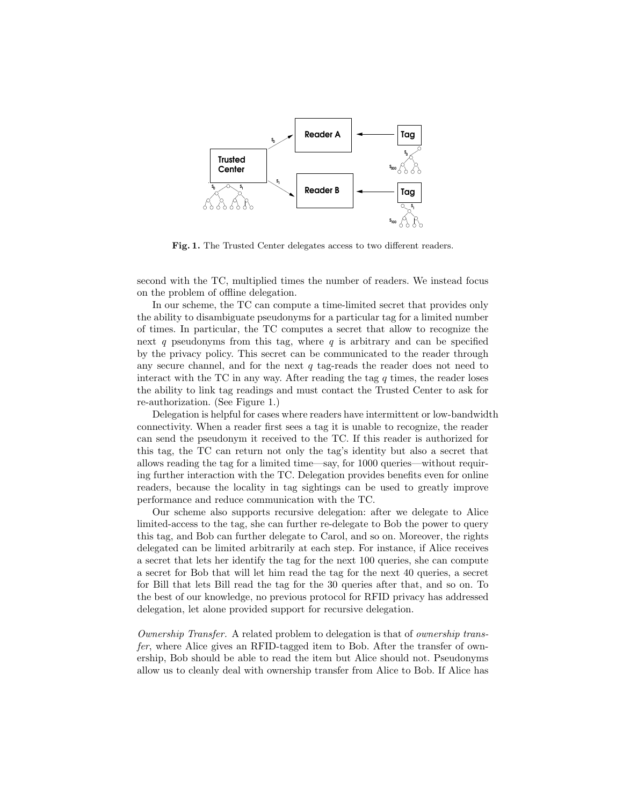

Fig. 1. The Trusted Center delegates access to two different readers.

second with the TC, multiplied times the number of readers. We instead focus on the problem of offline delegation.

In our scheme, the TC can compute a time-limited secret that provides only the ability to disambiguate pseudonyms for a particular tag for a limited number of times. In particular, the TC computes a secret that allow to recognize the next q pseudonyms from this tag, where  $q$  is arbitrary and can be specified by the privacy policy. This secret can be communicated to the reader through any secure channel, and for the next  $q$  tag-reads the reader does not need to interact with the TC in any way. After reading the tag  $q$  times, the reader loses the ability to link tag readings and must contact the Trusted Center to ask for re-authorization. (See Figure 1.)

Delegation is helpful for cases where readers have intermittent or low-bandwidth connectivity. When a reader first sees a tag it is unable to recognize, the reader can send the pseudonym it received to the TC. If this reader is authorized for this tag, the TC can return not only the tag's identity but also a secret that allows reading the tag for a limited time—say, for 1000 queries—without requiring further interaction with the TC. Delegation provides benefits even for online readers, because the locality in tag sightings can be used to greatly improve performance and reduce communication with the TC.

Our scheme also supports recursive delegation: after we delegate to Alice limited-access to the tag, she can further re-delegate to Bob the power to query this tag, and Bob can further delegate to Carol, and so on. Moreover, the rights delegated can be limited arbitrarily at each step. For instance, if Alice receives a secret that lets her identify the tag for the next 100 queries, she can compute a secret for Bob that will let him read the tag for the next 40 queries, a secret for Bill that lets Bill read the tag for the 30 queries after that, and so on. To the best of our knowledge, no previous protocol for RFID privacy has addressed delegation, let alone provided support for recursive delegation.

Ownership Transfer. A related problem to delegation is that of ownership transfer, where Alice gives an RFID-tagged item to Bob. After the transfer of ownership, Bob should be able to read the item but Alice should not. Pseudonyms allow us to cleanly deal with ownership transfer from Alice to Bob. If Alice has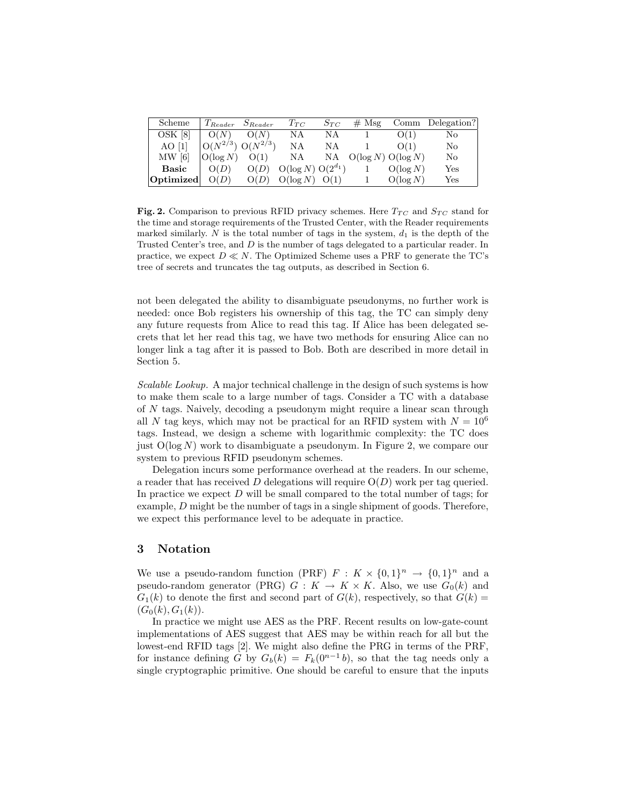| Scheme                                               |                      | $T_{Reader}$ $S_{Reader}$ | $T_{TC}$                         | $S_{TC}$ | $\#$ Msg |             | Comm Delegation? |
|------------------------------------------------------|----------------------|---------------------------|----------------------------------|----------|----------|-------------|------------------|
| OSK [8]                                              | $\vert$ O(N) O(N) NA |                           |                                  | NA       |          | O(1)        | No.              |
| AO [1] $\vert O(N^{2/3}) O(N^{2/3}) \vert$           |                      |                           | NA                               | NA       |          | O(1)        | No               |
| MW [6] $O(log N)$ $O(1)$ NA NA $O(log N)$ $O(log N)$ |                      |                           |                                  |          |          |             | N <sub>o</sub>   |
| Basic                                                | O(D)                 |                           | $O(D)$ $O(log N) O(2^{d_1})$ 1   |          |          | $O(\log N)$ | Yes              |
| <b>Optimized</b> $O(D)$                              |                      | O(D)                      | $O(\log N)$ $O(1)$ 1 $O(\log N)$ |          |          |             | Yes              |

Fig. 2. Comparison to previous RFID privacy schemes. Here  $T_{TC}$  and  $S_{TC}$  stand for the time and storage requirements of the Trusted Center, with the Reader requirements marked similarly. N is the total number of tags in the system,  $d_1$  is the depth of the Trusted Center's tree, and D is the number of tags delegated to a particular reader. In practice, we expect  $D \ll N$ . The Optimized Scheme uses a PRF to generate the TC's tree of secrets and truncates the tag outputs, as described in Section 6.

not been delegated the ability to disambiguate pseudonyms, no further work is needed: once Bob registers his ownership of this tag, the TC can simply deny any future requests from Alice to read this tag. If Alice has been delegated secrets that let her read this tag, we have two methods for ensuring Alice can no longer link a tag after it is passed to Bob. Both are described in more detail in Section 5.

Scalable Lookup. A major technical challenge in the design of such systems is how to make them scale to a large number of tags. Consider a TC with a database of N tags. Naively, decoding a pseudonym might require a linear scan through all N tag keys, which may not be practical for an RFID system with  $N = 10^6$ tags. Instead, we design a scheme with logarithmic complexity: the TC does just  $O(log N)$  work to disambiguate a pseudonym. In Figure 2, we compare our system to previous RFID pseudonym schemes.

Delegation incurs some performance overhead at the readers. In our scheme, a reader that has received  $D$  delegations will require  $O(D)$  work per tag queried. In practice we expect  $D$  will be small compared to the total number of tags; for example,  $D$  might be the number of tags in a single shipment of goods. Therefore, we expect this performance level to be adequate in practice.

## 3 Notation

We use a pseudo-random function (PRF)  $F: K \times \{0,1\}^n \to \{0,1\}^n$  and a pseudo-random generator (PRG)  $G: K \to K \times K$ . Also, we use  $G_0(k)$  and  $G_1(k)$  to denote the first and second part of  $G(k)$ , respectively, so that  $G(k)$  =  $(G_0(k), G_1(k)).$ 

In practice we might use AES as the PRF. Recent results on low-gate-count implementations of AES suggest that AES may be within reach for all but the lowest-end RFID tags [2]. We might also define the PRG in terms of the PRF, for instance defining G by  $G_b(k) = F_k(0^{n-1}b)$ , so that the tag needs only a single cryptographic primitive. One should be careful to ensure that the inputs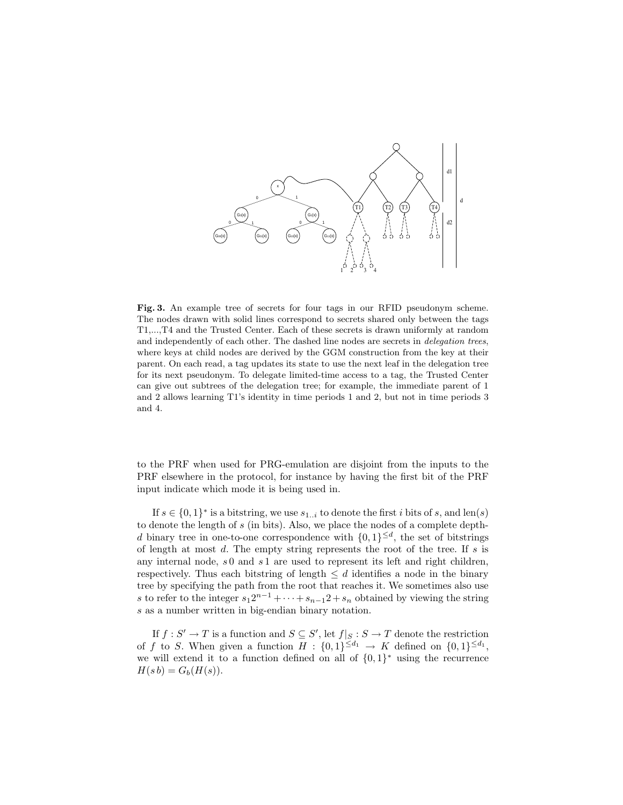

Fig. 3. An example tree of secrets for four tags in our RFID pseudonym scheme. The nodes drawn with solid lines correspond to secrets shared only between the tags T1,...,T4 and the Trusted Center. Each of these secrets is drawn uniformly at random and independently of each other. The dashed line nodes are secrets in delegation trees, where keys at child nodes are derived by the GGM construction from the key at their parent. On each read, a tag updates its state to use the next leaf in the delegation tree for its next pseudonym. To delegate limited-time access to a tag, the Trusted Center can give out subtrees of the delegation tree; for example, the immediate parent of 1 and 2 allows learning T1's identity in time periods 1 and 2, but not in time periods 3 and 4.

to the PRF when used for PRG-emulation are disjoint from the inputs to the PRF elsewhere in the protocol, for instance by having the first bit of the PRF input indicate which mode it is being used in.

If  $s \in \{0,1\}^*$  is a bitstring, we use  $s_{1..i}$  to denote the first i bits of s, and len(s) to denote the length of s (in bits). Also, we place the nodes of a complete depthd binary tree in one-to-one correspondence with  $\{0,1\}^{\leq d}$ , the set of bitstrings of length at most  $d$ . The empty string represents the root of the tree. If  $s$  is any internal node,  $s0$  and  $s1$  are used to represent its left and right children, respectively. Thus each bitstring of length  $\leq d$  identifies a node in the binary tree by specifying the path from the root that reaches it. We sometimes also use s to refer to the integer  $s_1 2^{n-1} + \cdots + s_{n-1} 2 + s_n$  obtained by viewing the string s as a number written in big-endian binary notation.

If  $f: S' \to T$  is a function and  $S \subseteq S'$ , let  $f|_S: S \to T$  denote the restriction of f to S. When given a function  $H: \{0,1\}^{\leq d_1} \to K$  defined on  $\{0,1\}^{\leq d_1}$ , we will extend it to a function defined on all of  $\{0,1\}^*$  using the recurrence  $H(s b) = G<sub>b</sub>(H(s)).$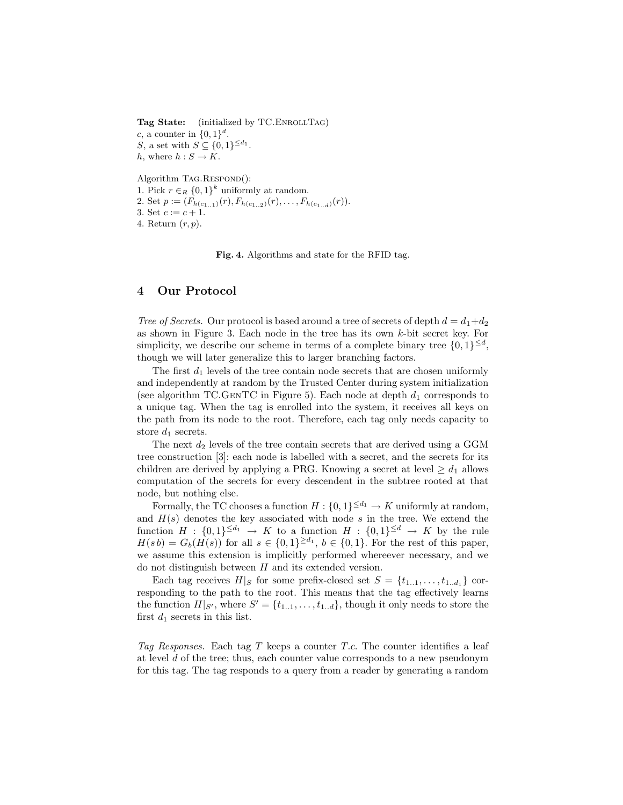Tag State: (initialized by TC.ENROLLTAG) c, a counter in  $\{0,1\}^d$ . S, a set with  $S \subseteq \{0,1\}^{\leq d_1}$ . h, where  $h: S \to K$ .

Algorithm Tag.Respond(): 1. Pick  $r \in_R \{0,1\}^k$  uniformly at random. 2. Set  $p := (F_{h(c_{1..1})}(r), F_{h(c_{1..2})}(r), \ldots, F_{h(c_{1..d})}(r)).$ 3. Set  $c := c + 1$ . 4. Return  $(r, p)$ .

Fig. 4. Algorithms and state for the RFID tag.

## 4 Our Protocol

Tree of Secrets. Our protocol is based around a tree of secrets of depth  $d = d_1 + d_2$ as shown in Figure 3. Each node in the tree has its own k-bit secret key. For simplicity, we describe our scheme in terms of a complete binary tree  $\{0,1\}^{\leq d}$ , though we will later generalize this to larger branching factors.

The first  $d_1$  levels of the tree contain node secrets that are chosen uniformly and independently at random by the Trusted Center during system initialization (see algorithm TC.GENTC in Figure 5). Each node at depth  $d_1$  corresponds to a unique tag. When the tag is enrolled into the system, it receives all keys on the path from its node to the root. Therefore, each tag only needs capacity to store  $d_1$  secrets.

The next  $d_2$  levels of the tree contain secrets that are derived using a GGM tree construction [3]: each node is labelled with a secret, and the secrets for its children are derived by applying a PRG. Knowing a secret at level  $\geq d_1$  allows computation of the secrets for every descendent in the subtree rooted at that node, but nothing else.

Formally, the TC chooses a function  $H: \{0,1\}^{\leq d_1} \to K$  uniformly at random, and  $H(s)$  denotes the key associated with node s in the tree. We extend the function  $H : \{0,1\}^{\le d_1} \to K$  to a function  $H : \{0,1\}^{\le d} \to K$  by the rule  $H(s b) = G_b(H(s))$  for all  $s \in \{0, 1\}^{\ge d_1}$ ,  $b \in \{0, 1\}$ . For the rest of this paper, we assume this extension is implicitly performed whereever necessary, and we do not distinguish between  $H$  and its extended version.

Each tag receives  $H|_S$  for some prefix-closed set  $S = \{t_{1..1}, \ldots, t_{1..d_1}\}$  corresponding to the path to the root. This means that the tag effectively learns the function  $H|_{S'}$ , where  $S' = \{t_{1,1}, \ldots, t_{1,d}\}$ , though it only needs to store the first  $d_1$  secrets in this list.

Tag Responses. Each tag T keeps a counter T.c. The counter identifies a leaf at level  $d$  of the tree; thus, each counter value corresponds to a new pseudonym for this tag. The tag responds to a query from a reader by generating a random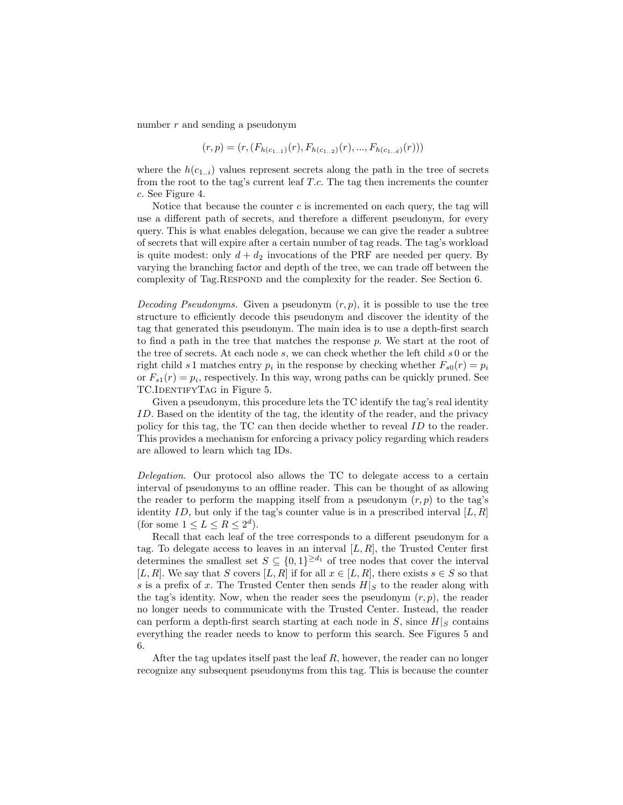number  $r$  and sending a pseudonym

$$
(r, p) = (r, (F_{h(c_{1..1})}(r), F_{h(c_{1..2})}(r), ..., F_{h(c_{1..d})}(r)))
$$

where the  $h(c_{1..i})$  values represent secrets along the path in the tree of secrets from the root to the tag's current leaf  $T.c$ . The tag then increments the counter c. See Figure 4.

Notice that because the counter  $c$  is incremented on each query, the tag will use a different path of secrets, and therefore a different pseudonym, for every query. This is what enables delegation, because we can give the reader a subtree of secrets that will expire after a certain number of tag reads. The tag's workload is quite modest: only  $d + d_2$  invocations of the PRF are needed per query. By varying the branching factor and depth of the tree, we can trade off between the complexity of Tag.Respond and the complexity for the reader. See Section 6.

*Decoding Pseudonyms.* Given a pseudonym  $(r, p)$ , it is possible to use the tree structure to efficiently decode this pseudonym and discover the identity of the tag that generated this pseudonym. The main idea is to use a depth-first search to find a path in the tree that matches the response p. We start at the root of the tree of secrets. At each node  $s$ , we can check whether the left child  $s_0$  or the right child s 1 matches entry  $p_i$  in the response by checking whether  $F_{s0}(r) = p_i$ or  $F_{s1}(r) = p_i$ , respectively. In this way, wrong paths can be quickly pruned. See TC.IDENTIFYTAG in Figure 5.

Given a pseudonym, this procedure lets the TC identify the tag's real identity ID. Based on the identity of the tag, the identity of the reader, and the privacy policy for this tag, the TC can then decide whether to reveal ID to the reader. This provides a mechanism for enforcing a privacy policy regarding which readers are allowed to learn which tag IDs.

Delegation. Our protocol also allows the TC to delegate access to a certain interval of pseudonyms to an offline reader. This can be thought of as allowing the reader to perform the mapping itself from a pseudonym  $(r, p)$  to the tag's identity ID, but only if the tag's counter value is in a prescribed interval  $[L, R]$ (for some  $1 \leq L \leq R \leq 2^d$ ).

Recall that each leaf of the tree corresponds to a different pseudonym for a tag. To delegate access to leaves in an interval  $[L, R]$ , the Trusted Center first determines the smallest set  $S \subseteq \{0,1\}^{\ge d_1}$  of tree nodes that cover the interval [L, R]. We say that S covers [L, R] if for all  $x \in [L, R]$ , there exists  $s \in S$  so that s is a prefix of x. The Trusted Center then sends  $H|_S$  to the reader along with the tag's identity. Now, when the reader sees the pseudonym  $(r, p)$ , the reader no longer needs to communicate with the Trusted Center. Instead, the reader can perform a depth-first search starting at each node in  $S$ , since  $H|_S$  contains everything the reader needs to know to perform this search. See Figures 5 and 6.

After the tag updates itself past the leaf  $R$ , however, the reader can no longer recognize any subsequent pseudonyms from this tag. This is because the counter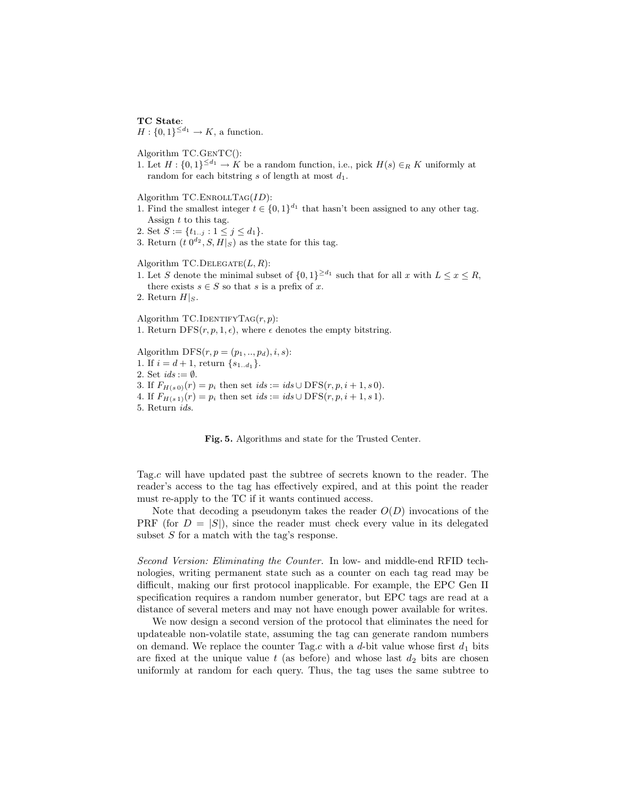TC State:  $H: \{0,1\}^{\leq d_1} \to K$ , a function.

Algorithm TC.GenTC():

1. Let  $H: \{0,1\}^{\le d_1} \to K$  be a random function, i.e., pick  $H(s) \in_R K$  uniformly at random for each bitstring  $s$  of length at most  $d_1$ .

Algorithm  $TC.ENROLLTAG(ID)$ :

- 1. Find the smallest integer  $t \in \{0,1\}^{d_1}$  that hasn't been assigned to any other tag. Assign  $t$  to this tag.
- 2. Set  $S := \{t_{1..j} : 1 \leq j \leq d_1\}.$

3. Return  $(t \, 0^{d_2}, S, H|_S)$  as the state for this tag.

Algorithm  $TC.DEEGATE(L, R)$ :

1. Let S denote the minimal subset of  $\{0,1\}^{\ge d_1}$  such that for all x with  $L \le x \le R$ , there exists  $s \in S$  so that s is a prefix of x.

2. Return  $H|_S$ .

Algorithm TC.IDENTIFYTAG $(r, p)$ : 1. Return DFS $(r, p, 1, \epsilon)$ , where  $\epsilon$  denotes the empty bitstring.

Algorithm  $DFS(r, p = (p_1, ..., p_d), i, s)$ : 1. If  $i = d + 1$ , return  $\{s_{1..d_1}\}.$ 2. Set  $ids := \emptyset$ . 3. If  $F_{H(s\,0)}(r) = p_i$  then set  $ids := i ds \cup \text{DFS}(r, p, i + 1, s\,0).$ 4. If  $F_{H(s\,1)}(r) = p_i$  then set  $ids := is \cup \text{DFS}(r, p, i + 1, s\,1)$ . 5. Return ids.

Fig. 5. Algorithms and state for the Trusted Center.

Tag.c will have updated past the subtree of secrets known to the reader. The reader's access to the tag has effectively expired, and at this point the reader must re-apply to the TC if it wants continued access.

Note that decoding a pseudonym takes the reader  $O(D)$  invocations of the PRF (for  $D = |S|$ ), since the reader must check every value in its delegated subset  $S$  for a match with the tag's response.

Second Version: Eliminating the Counter. In low- and middle-end RFID technologies, writing permanent state such as a counter on each tag read may be difficult, making our first protocol inapplicable. For example, the EPC Gen II specification requires a random number generator, but EPC tags are read at a distance of several meters and may not have enough power available for writes.

We now design a second version of the protocol that eliminates the need for updateable non-volatile state, assuming the tag can generate random numbers on demand. We replace the counter Tag.c with a d-bit value whose first  $d_1$  bits are fixed at the unique value  $t$  (as before) and whose last  $d_2$  bits are chosen uniformly at random for each query. Thus, the tag uses the same subtree to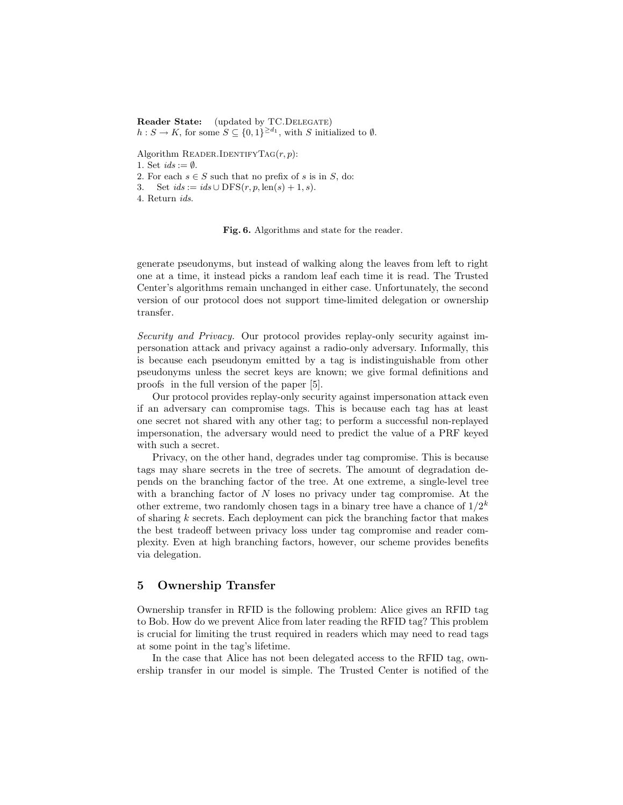Reader State: (updated by TC.DELEGATE)  $h: S \to K$ , for some  $S \subseteq \{0,1\}^{\geq d_1}$ , with S initialized to  $\emptyset$ .

Algorithm READER.IDENTIFYTAG $(r, p)$ : 1. Set  $ids := \emptyset$ . 2. For each  $s \in S$  such that no prefix of s is in S, do: 3. Set  $ids := ids \cup DFS(r, p, len(s) + 1, s)$ .

4. Return ids.

Fig. 6. Algorithms and state for the reader.

generate pseudonyms, but instead of walking along the leaves from left to right one at a time, it instead picks a random leaf each time it is read. The Trusted Center's algorithms remain unchanged in either case. Unfortunately, the second version of our protocol does not support time-limited delegation or ownership transfer.

Security and Privacy. Our protocol provides replay-only security against impersonation attack and privacy against a radio-only adversary. Informally, this is because each pseudonym emitted by a tag is indistinguishable from other pseudonyms unless the secret keys are known; we give formal definitions and proofs in the full version of the paper [5].

Our protocol provides replay-only security against impersonation attack even if an adversary can compromise tags. This is because each tag has at least one secret not shared with any other tag; to perform a successful non-replayed impersonation, the adversary would need to predict the value of a PRF keyed with such a secret.

Privacy, on the other hand, degrades under tag compromise. This is because tags may share secrets in the tree of secrets. The amount of degradation depends on the branching factor of the tree. At one extreme, a single-level tree with a branching factor of  $N$  loses no privacy under tag compromise. At the other extreme, two randomly chosen tags in a binary tree have a chance of  $1/2^k$ of sharing  $k$  secrets. Each deployment can pick the branching factor that makes the best tradeoff between privacy loss under tag compromise and reader complexity. Even at high branching factors, however, our scheme provides benefits via delegation.

## 5 Ownership Transfer

Ownership transfer in RFID is the following problem: Alice gives an RFID tag to Bob. How do we prevent Alice from later reading the RFID tag? This problem is crucial for limiting the trust required in readers which may need to read tags at some point in the tag's lifetime.

In the case that Alice has not been delegated access to the RFID tag, ownership transfer in our model is simple. The Trusted Center is notified of the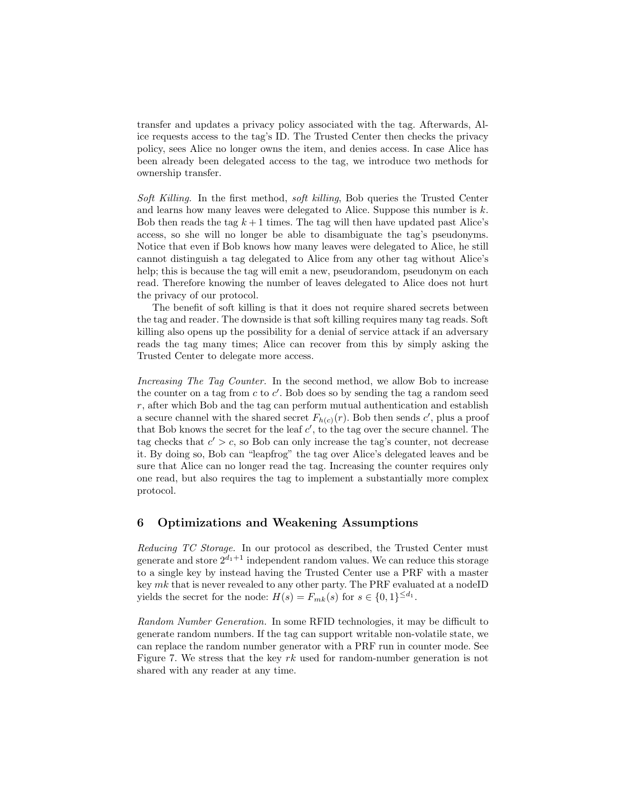transfer and updates a privacy policy associated with the tag. Afterwards, Alice requests access to the tag's ID. The Trusted Center then checks the privacy policy, sees Alice no longer owns the item, and denies access. In case Alice has been already been delegated access to the tag, we introduce two methods for ownership transfer.

Soft Killing. In the first method, soft killing, Bob queries the Trusted Center and learns how many leaves were delegated to Alice. Suppose this number is  $k$ . Bob then reads the tag  $k+1$  times. The tag will then have updated past Alice's access, so she will no longer be able to disambiguate the tag's pseudonyms. Notice that even if Bob knows how many leaves were delegated to Alice, he still cannot distinguish a tag delegated to Alice from any other tag without Alice's help; this is because the tag will emit a new, pseudorandom, pseudonym on each read. Therefore knowing the number of leaves delegated to Alice does not hurt the privacy of our protocol.

The benefit of soft killing is that it does not require shared secrets between the tag and reader. The downside is that soft killing requires many tag reads. Soft killing also opens up the possibility for a denial of service attack if an adversary reads the tag many times; Alice can recover from this by simply asking the Trusted Center to delegate more access.

Increasing The Tag Counter. In the second method, we allow Bob to increase the counter on a tag from  $c$  to  $c'$ . Bob does so by sending the tag a random seed r, after which Bob and the tag can perform mutual authentication and establish a secure channel with the shared secret  $F_{h(c)}(r)$ . Bob then sends c', plus a proof that Bob knows the secret for the leaf  $c'$ , to the tag over the secure channel. The tag checks that  $c' > c$ , so Bob can only increase the tag's counter, not decrease it. By doing so, Bob can "leapfrog" the tag over Alice's delegated leaves and be sure that Alice can no longer read the tag. Increasing the counter requires only one read, but also requires the tag to implement a substantially more complex protocol.

#### 6 Optimizations and Weakening Assumptions

Reducing TC Storage. In our protocol as described, the Trusted Center must generate and store  $2^{d_1+1}$  independent random values. We can reduce this storage to a single key by instead having the Trusted Center use a PRF with a master key mk that is never revealed to any other party. The PRF evaluated at a nodeID yields the secret for the node:  $H(s) = F_{mk}(s)$  for  $s \in \{0, 1\}^{\le d_1}$ .

Random Number Generation. In some RFID technologies, it may be difficult to generate random numbers. If the tag can support writable non-volatile state, we can replace the random number generator with a PRF run in counter mode. See Figure 7. We stress that the key  $rk$  used for random-number generation is not shared with any reader at any time.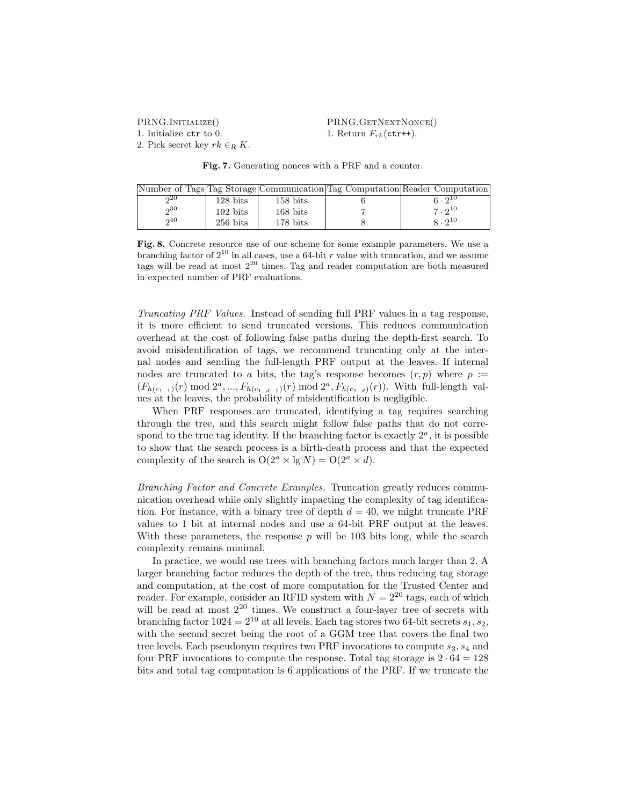PRNG.INITIALIZE() 1. Initialize ctr to 0. 2. Pick secret key  $rk \in_R K$ . PRNG.GETNEXTNONCE() 1. Return  $F_{rk}(\texttt{ctr++}).$ 

Fig. 7. Generating nonces with a PRF and a counter.

|                        |                    |            | Number of Tags Tag Storage Communication Tag Computation Reader Computation |
|------------------------|--------------------|------------|-----------------------------------------------------------------------------|
| $\Omega$ <sup>20</sup> | $128$ bits         | $158$ bits | $6 \cdot 2^{10}$                                                            |
| $20^{\circ}$           | $192 \text{ bits}$ | $168$ bits | $7 \cdot 2^{10}$                                                            |
| $\Omega$ <sup>40</sup> | $256$ bits         | 178 bits   | $8 \cdot 2^{10}$                                                            |

Fig. 8. Concrete resource use of our scheme for some example parameters. We use a branching factor of  $2^{10}$  in all cases, use a 64-bit r value with truncation, and we assume tags will be read at most  $2^{20}$  times. Tag and reader computation are both measured in expected number of PRF evaluations.

Truncating PRF Values. Instead of sending full PRF values in a tag response, it is more efficient to send truncated versions. This reduces communication overhead at the cost of following false paths during the depth-first search. To avoid misidentification of tags, we recommend truncating only at the internal nodes and sending the full-length PRF output at the leaves. If internal nodes are truncated to a bits, the tag's response becomes  $(r, p)$  where  $p :=$  $(F_{h(c_{1..1})}(r) \mod 2^a, ..., F_{h(c_{1..d-1})}(r) \mod 2^a, F_{h(c_{1..d})}(r))$ . With full-length values at the leaves, the probability of misidentification is negligible.

When PRF responses are truncated, identifying a tag requires searching through the tree, and this search might follow false paths that do not correspond to the true tag identity. If the branching factor is exactly  $2<sup>a</sup>$ , it is possible to show that the search process is a birth-death process and that the expected complexity of the search is  $O(2^a \times \lg N) = O(2^a \times d)$ .

Branching Factor and Concrete Examples. Truncation greatly reduces communication overhead while only slightly impacting the complexity of tag identification. For instance, with a binary tree of depth  $d = 40$ , we might truncate PRF values to 1 bit at internal nodes and use a 64-bit PRF output at the leaves. With these parameters, the response  $p$  will be 103 bits long, while the search complexity remains minimal.

In practice, we would use trees with branching factors much larger than 2. A larger branching factor reduces the depth of the tree, thus reducing tag storage and computation, at the cost of more computation for the Trusted Center and reader. For example, consider an RFID system with  $N = 2^{20}$  tags, each of which will be read at most  $2^{20}$  times. We construct a four-layer tree of secrets with branching factor  $1024 = 2^{10}$  at all levels. Each tag stores two 64-bit secrets  $s_1, s_2$ , with the second secret being the root of a GGM tree that covers the final two tree levels. Each pseudonym requires two PRF invocations to compute  $s_3$ ,  $s_4$  and four PRF invocations to compute the response. Total tag storage is  $2 \cdot 64 = 128$ bits and total tag computation is 6 applications of the PRF. If we truncate the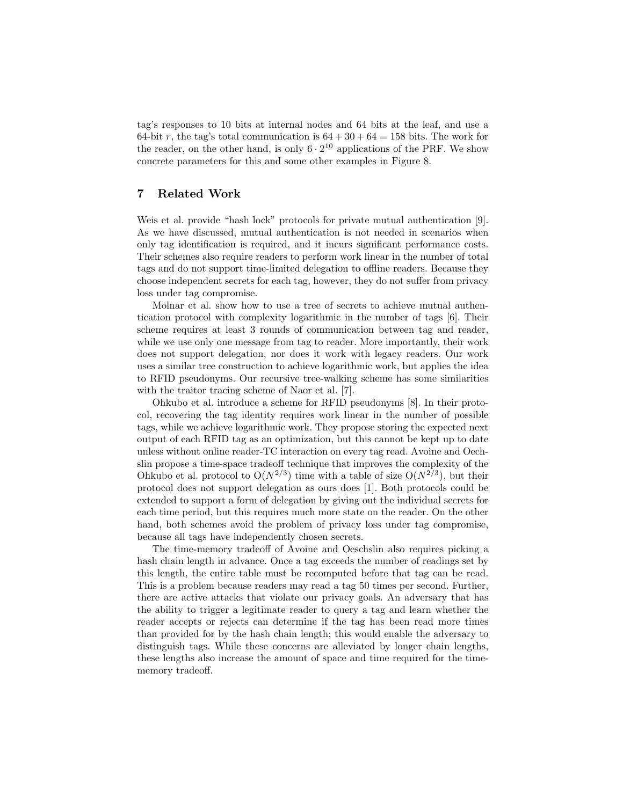tag's responses to 10 bits at internal nodes and 64 bits at the leaf, and use a 64-bit r, the tag's total communication is  $64 + 30 + 64 = 158$  bits. The work for the reader, on the other hand, is only  $6 \cdot 2^{10}$  applications of the PRF. We show concrete parameters for this and some other examples in Figure 8.

# 7 Related Work

Weis et al. provide "hash lock" protocols for private mutual authentication [9]. As we have discussed, mutual authentication is not needed in scenarios when only tag identification is required, and it incurs significant performance costs. Their schemes also require readers to perform work linear in the number of total tags and do not support time-limited delegation to offline readers. Because they choose independent secrets for each tag, however, they do not suffer from privacy loss under tag compromise.

Molnar et al. show how to use a tree of secrets to achieve mutual authentication protocol with complexity logarithmic in the number of tags [6]. Their scheme requires at least 3 rounds of communication between tag and reader, while we use only one message from tag to reader. More importantly, their work does not support delegation, nor does it work with legacy readers. Our work uses a similar tree construction to achieve logarithmic work, but applies the idea to RFID pseudonyms. Our recursive tree-walking scheme has some similarities with the traitor tracing scheme of Naor et al. [7].

Ohkubo et al. introduce a scheme for RFID pseudonyms [8]. In their protocol, recovering the tag identity requires work linear in the number of possible tags, while we achieve logarithmic work. They propose storing the expected next output of each RFID tag as an optimization, but this cannot be kept up to date unless without online reader-TC interaction on every tag read. Avoine and Oechslin propose a time-space tradeoff technique that improves the complexity of the Ohkubo et al. protocol to  $O(N^{2/3})$  time with a table of size  $O(N^{2/3})$ , but their protocol does not support delegation as ours does [1]. Both protocols could be extended to support a form of delegation by giving out the individual secrets for each time period, but this requires much more state on the reader. On the other hand, both schemes avoid the problem of privacy loss under tag compromise, because all tags have independently chosen secrets.

The time-memory tradeoff of Avoine and Oeschslin also requires picking a hash chain length in advance. Once a tag exceeds the number of readings set by this length, the entire table must be recomputed before that tag can be read. This is a problem because readers may read a tag 50 times per second. Further, there are active attacks that violate our privacy goals. An adversary that has the ability to trigger a legitimate reader to query a tag and learn whether the reader accepts or rejects can determine if the tag has been read more times than provided for by the hash chain length; this would enable the adversary to distinguish tags. While these concerns are alleviated by longer chain lengths, these lengths also increase the amount of space and time required for the timememory tradeoff.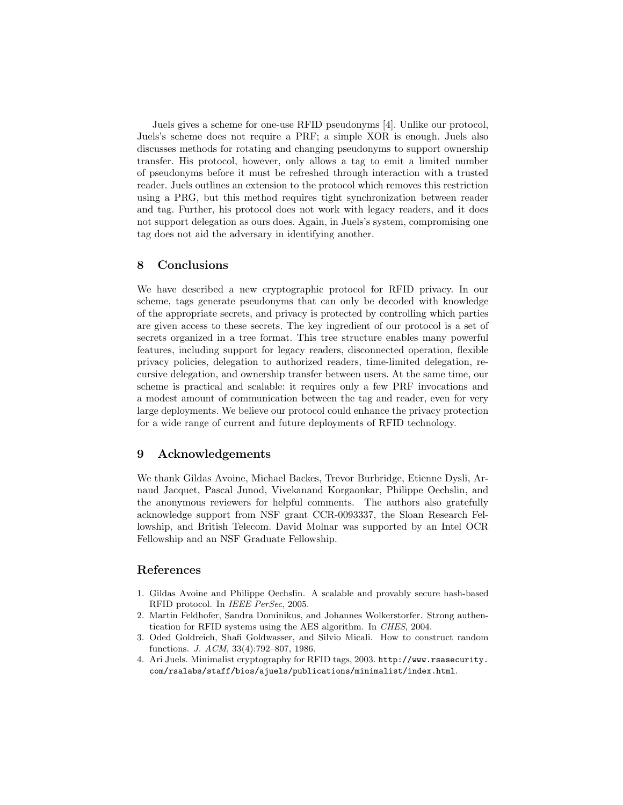Juels gives a scheme for one-use RFID pseudonyms [4]. Unlike our protocol, Juels's scheme does not require a PRF; a simple XOR is enough. Juels also discusses methods for rotating and changing pseudonyms to support ownership transfer. His protocol, however, only allows a tag to emit a limited number of pseudonyms before it must be refreshed through interaction with a trusted reader. Juels outlines an extension to the protocol which removes this restriction using a PRG, but this method requires tight synchronization between reader and tag. Further, his protocol does not work with legacy readers, and it does not support delegation as ours does. Again, in Juels's system, compromising one tag does not aid the adversary in identifying another.

# 8 Conclusions

We have described a new cryptographic protocol for RFID privacy. In our scheme, tags generate pseudonyms that can only be decoded with knowledge of the appropriate secrets, and privacy is protected by controlling which parties are given access to these secrets. The key ingredient of our protocol is a set of secrets organized in a tree format. This tree structure enables many powerful features, including support for legacy readers, disconnected operation, flexible privacy policies, delegation to authorized readers, time-limited delegation, recursive delegation, and ownership transfer between users. At the same time, our scheme is practical and scalable: it requires only a few PRF invocations and a modest amount of communication between the tag and reader, even for very large deployments. We believe our protocol could enhance the privacy protection for a wide range of current and future deployments of RFID technology.

### 9 Acknowledgements

We thank Gildas Avoine, Michael Backes, Trevor Burbridge, Etienne Dysli, Arnaud Jacquet, Pascal Junod, Vivekanand Korgaonkar, Philippe Oechslin, and the anonymous reviewers for helpful comments. The authors also gratefully acknowledge support from NSF grant CCR-0093337, the Sloan Research Fellowship, and British Telecom. David Molnar was supported by an Intel OCR Fellowship and an NSF Graduate Fellowship.

# References

- 1. Gildas Avoine and Philippe Oechslin. A scalable and provably secure hash-based RFID protocol. In IEEE PerSec, 2005.
- 2. Martin Feldhofer, Sandra Dominikus, and Johannes Wolkerstorfer. Strong authentication for RFID systems using the AES algorithm. In CHES, 2004.
- 3. Oded Goldreich, Shafi Goldwasser, and Silvio Micali. How to construct random functions. J. ACM, 33(4):792–807, 1986.
- 4. Ari Juels. Minimalist cryptography for RFID tags, 2003. http://www.rsasecurity. com/rsalabs/staff/bios/ajuels/publications/minimalist/index.html.